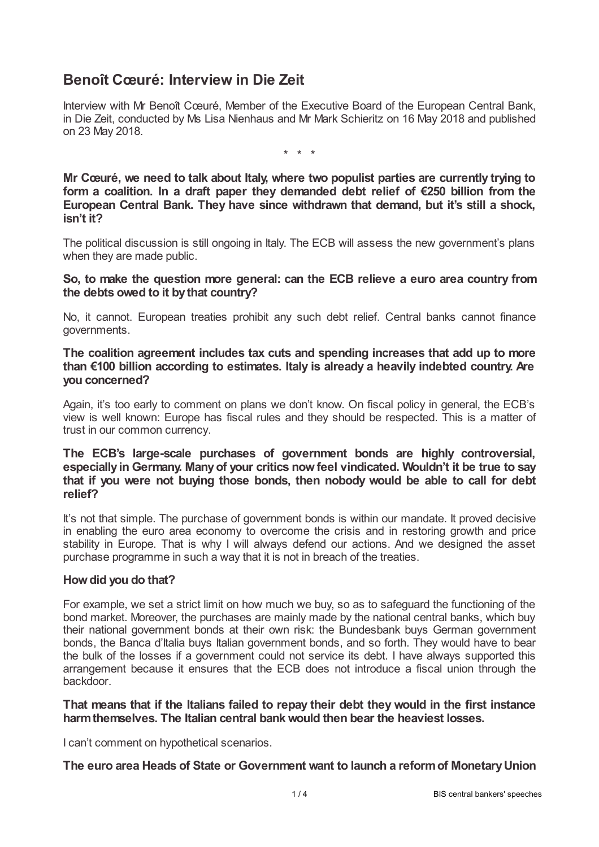# **Benoît Cœuré: Interview in Die Zeit**

Interview with Mr Benoît Cœuré, Member of the Executive Board of the European Central Bank, in Die Zeit, conducted by Ms Lisa Nienhaus and Mr Mark Schieritz on 16 May 2018 and published on 23 May 2018.

\* \* \*

**Mr Cœuré, we need to talk about Italy, where two populist parties are currently trying to form a coalition. In a draft paper they demanded debt relief of €250 billion from the European Central Bank. They have since withdrawn that demand, but it's still a shock, isn't it?**

The political discussion is still ongoing in Italy. The ECB will assess the new government's plans when they are made public.

**So, to make the question more general: can the ECB relieve a euro area country from the debts owed to it bythat country?**

No, it cannot. European treaties prohibit any such debt relief. Central banks cannot finance governments.

**The coalition agreement includes tax cuts and spending increases that add up to more than €100 billion according to estimates. Italy is already a heavily indebted country. Are you concerned?**

Again, it's too early to comment on plans we don't know. On fiscal policy in general, the ECB's view is well known: Europe has fiscal rules and they should be respected. This is a matter of trust in our common currency.

**The ECB's large-scale purchases of government bonds are highly controversial, especially in Germany. Manyof your critics nowfeel vindicated. Wouldn't it be true to say that if you were not buying those bonds, then nobody would be able to call for debt relief?**

It's not that simple. The purchase of government bonds is within our mandate. It proved decisive in enabling the euro area economy to overcome the crisis and in restoring growth and price stability in Europe. That is why I will always defend our actions. And we designed the asset purchase programme in such a way that it is not in breach of the treaties.

#### **Howdid you do that?**

For example, we set a strict limit on how much we buy, so as to safeguard the functioning of the bond market. Moreover, the purchases are mainly made by the national central banks, which buy their national government bonds at their own risk: the Bundesbank buys German government bonds, the Banca d'Italia buys Italian government bonds, and so forth. They would have to bear the bulk of the losses if a government could not service its debt. I have always supported this arrangement because it ensures that the ECB does not introduce a fiscal union through the backdoor.

**That means that if the Italians failed to repay their debt they would in the first instance harmthemselves. The Italian central bankwould then bear the heaviest losses.**

I can't comment on hypothetical scenarios.

**The euro area Heads of State or Government want to launch a reformof MonetaryUnion**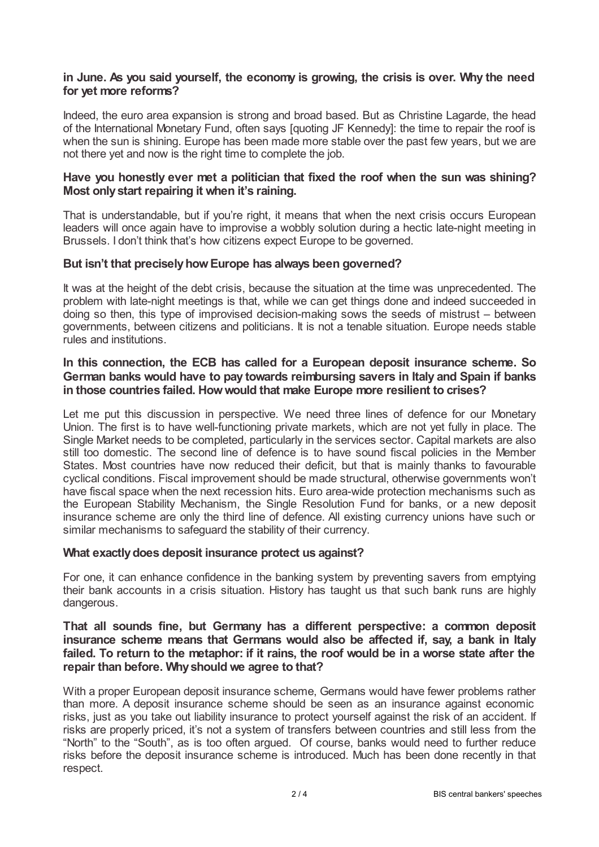## **in June. As you said yourself, the economy is growing, the crisis is over. Why the need for yet more reforms?**

Indeed, the euro area expansion is strong and broad based. But as Christine Lagarde, the head of the International Monetary Fund, often says [quoting JF Kennedy]: the time to repair the roof is when the sun is shining. Europe has been made more stable over the past few years, but we are not there yet and now is the right time to complete the job.

### **Have you honestly ever met a politician that fixed the roof when the sun was shining? Most onlystart repairing it when it's raining.**

That is understandable, but if you're right, it means that when the next crisis occurs European leaders will once again have to improvise a wobbly solution during a hectic late-night meeting in Brussels. I don't think that's how citizens expect Europe to be governed.

#### **But isn't that preciselyhowEurope has always been governed?**

It was at the height of the debt crisis, because the situation at the time was unprecedented. The problem with late-night meetings is that, while we can get things done and indeed succeeded in doing so then, this type of improvised decision-making sows the seeds of mistrust – between governments, between citizens and politicians. It is not a tenable situation. Europe needs stable rules and institutions.

#### **In this connection, the ECB has called for a European deposit insurance scheme. So German banks would have to pay towards reimbursing savers in Italy and Spain if banks in those countries failed. Howwould that make Europe more resilient to crises?**

Let me put this discussion in perspective. We need three lines of defence for our Monetary Union. The first is to have well-functioning private markets, which are not yet fully in place. The Single Market needs to be completed, particularly in the services sector. Capital markets are also still too domestic. The second line of defence is to have sound fiscal policies in the Member States. Most countries have now reduced their deficit, but that is mainly thanks to favourable cyclical conditions. Fiscal improvement should be made structural, otherwise governments won't have fiscal space when the next recession hits. Euro area-wide protection mechanisms such as the European Stability Mechanism, the Single Resolution Fund for banks, or a new deposit insurance scheme are only the third line of defence. All existing currency unions have such or similar mechanisms to safeguard the stability of their currency.

#### **What exactlydoes deposit insurance protect us against?**

For one, it can enhance confidence in the banking system by preventing savers from emptying their bank accounts in a crisis situation. History has taught us that such bank runs are highly dangerous.

### **That all sounds fine, but Germany has a different perspective: a common deposit insurance scheme means that Germans would also be affected if, say, a bank in Italy** failed. To return to the metaphor: if it rains, the roof would be in a worse state after the **repair than before. Whyshould we agree to that?**

With a proper European deposit insurance scheme, Germans would have fewer problems rather than more. A deposit insurance scheme should be seen as an insurance against economic risks, just as you take out liability insurance to protect yourself against the risk of an accident. If risks are properly priced, it's not a system of transfers between countries and still less from the "North" to the "South", as is too often argued. Of course, banks would need to further reduce risks before the deposit insurance scheme is introduced. Much has been done recently in that respect.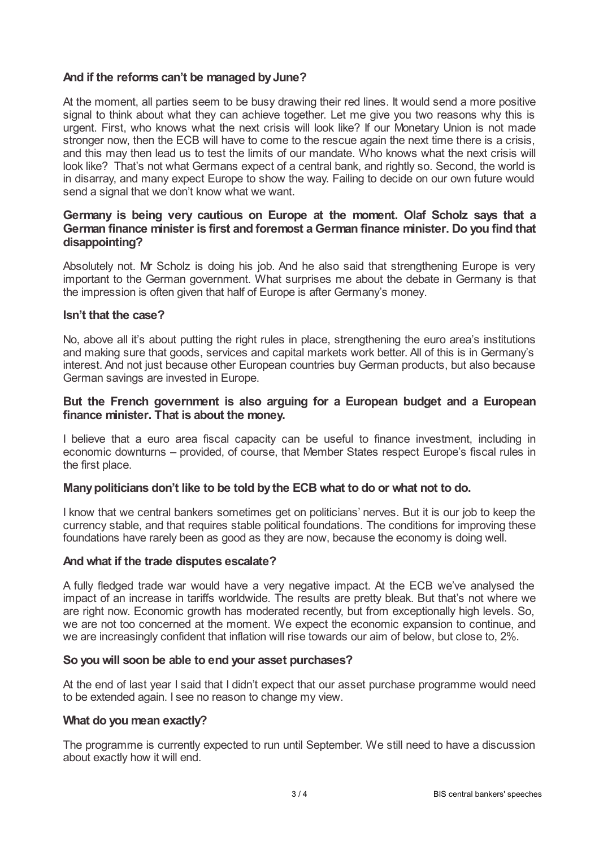# **And if the reforms can't be managed byJune?**

At the moment, all parties seem to be busy drawing their red lines. It would send a more positive signal to think about what they can achieve together. Let me give you two reasons why this is urgent. First, who knows what the next crisis will look like? If our Monetary Union is not made stronger now, then the ECB will have to come to the rescue again the next time there is a crisis, and this may then lead us to test the limits of our mandate. Who knows what the next crisis will look like? That's not what Germans expect of a central bank, and rightly so. Second, the world is in disarray, and many expect Europe to show the way. Failing to decide on our own future would send a signal that we don't know what we want.

### **Germany is being very cautious on Europe at the moment. Olaf Scholz says that a German finance minister is first and foremost aGerman finance minister. Do you find that disappointing?**

Absolutely not. Mr Scholz is doing his job. And he also said that strengthening Europe is very important to the German government. What surprises me about the debate in Germany is that the impression is often given that half of Europe is after Germany's money.

#### **Isn't that the case?**

No, above all it's about putting the right rules in place, strengthening the euro area's institutions and making sure that goods, services and capital markets work better. All of this is in Germany's interest. And not just because other European countries buy German products, but also because German savings are invested in Europe.

#### **But the French government is also arguing for a European budget and a European finance minister. That is about the money.**

I believe that a euro area fiscal capacity can be useful to finance investment, including in economic downturns – provided, of course, that Member States respect Europe's fiscal rules in the first place.

#### **Manypoliticians don't like to be told bythe ECB what to do or what not to do.**

I know that we central bankers sometimes get on politicians' nerves. But it is our job to keep the currency stable, and that requires stable political foundations. The conditions for improving these foundations have rarely been as good as they are now, because the economy is doing well.

#### **And what if the trade disputes escalate?**

A fully fledged trade war would have a very negative impact. At the ECB we've analysed the impact of an increase in tariffs worldwide. The results are pretty bleak. But that's not where we are right now. Economic growth has moderated recently, but from exceptionally high levels. So, we are not too concerned at the moment. We expect the economic expansion to continue, and we are increasingly confident that inflation will rise towards our aim of below, but close to, 2%.

#### **So you will soon be able to end your asset purchases?**

At the end of last year I said that I didn't expect that our asset purchase programme would need to be extended again. I see no reason to change my view.

#### **What do you mean exactly?**

The programme is currently expected to run until September. We still need to have a discussion about exactly how it will end.